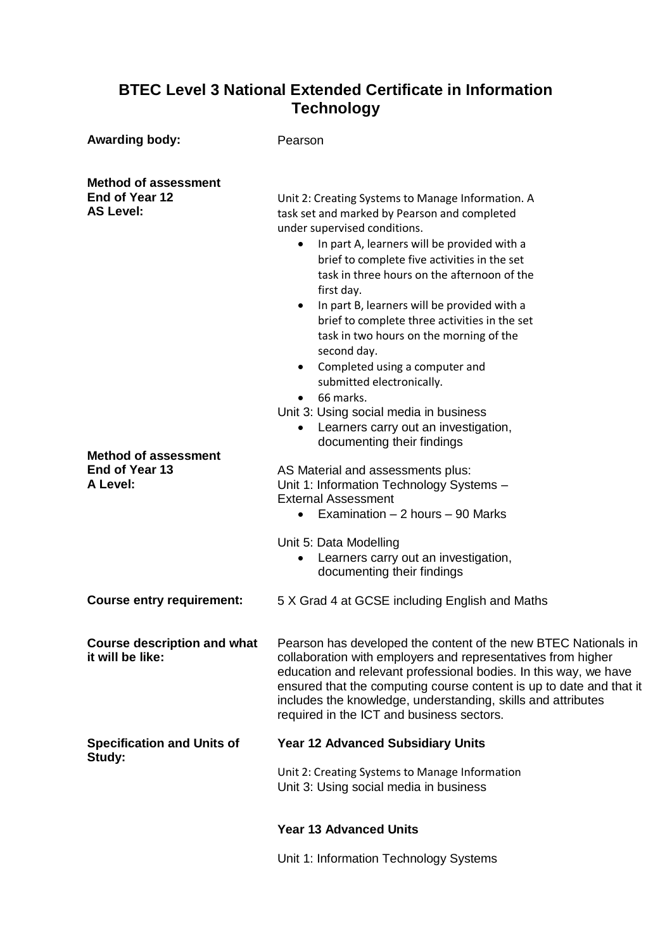## **BTEC Level 3 National Extended Certificate in Information Technology**

| <b>Awarding body:</b>                                             | Pearson                                                                                                                                                                                                                                                                                                                                                                                                                                                                                                                                                                                                                                  |
|-------------------------------------------------------------------|------------------------------------------------------------------------------------------------------------------------------------------------------------------------------------------------------------------------------------------------------------------------------------------------------------------------------------------------------------------------------------------------------------------------------------------------------------------------------------------------------------------------------------------------------------------------------------------------------------------------------------------|
| <b>Method of assessment</b><br>End of Year 12<br><b>AS Level:</b> | Unit 2: Creating Systems to Manage Information. A<br>task set and marked by Pearson and completed<br>under supervised conditions.<br>• In part A, learners will be provided with a<br>brief to complete five activities in the set<br>task in three hours on the afternoon of the<br>first day.<br>• In part B, learners will be provided with a<br>brief to complete three activities in the set<br>task in two hours on the morning of the<br>second day.<br>• Completed using a computer and<br>submitted electronically.<br>66 marks.<br>$\bullet$<br>Unit 3: Using social media in business<br>Learners carry out an investigation, |
| <b>Method of assessment</b><br>End of Year 13<br>A Level:         | documenting their findings<br>AS Material and assessments plus:<br>Unit 1: Information Technology Systems -<br><b>External Assessment</b><br>Examination $-2$ hours $-90$ Marks<br>$\bullet$<br>Unit 5: Data Modelling<br>Learners carry out an investigation,                                                                                                                                                                                                                                                                                                                                                                           |
| <b>Course entry requirement:</b>                                  | documenting their findings<br>5 X Grad 4 at GCSE including English and Maths                                                                                                                                                                                                                                                                                                                                                                                                                                                                                                                                                             |
| <b>Course description and what</b><br>it will be like:            | Pearson has developed the content of the new BTEC Nationals in<br>collaboration with employers and representatives from higher<br>education and relevant professional bodies. In this way, we have<br>ensured that the computing course content is up to date and that if<br>includes the knowledge, understanding, skills and attributes<br>required in the ICT and business sectors.                                                                                                                                                                                                                                                   |
| <b>Specification and Units of</b><br>Study:                       | <b>Year 12 Advanced Subsidiary Units</b><br>Unit 2: Creating Systems to Manage Information<br>Unit 3: Using social media in business                                                                                                                                                                                                                                                                                                                                                                                                                                                                                                     |
|                                                                   | <b>Year 13 Advanced Units</b>                                                                                                                                                                                                                                                                                                                                                                                                                                                                                                                                                                                                            |
|                                                                   | Unit 1: Information Technology Systems                                                                                                                                                                                                                                                                                                                                                                                                                                                                                                                                                                                                   |